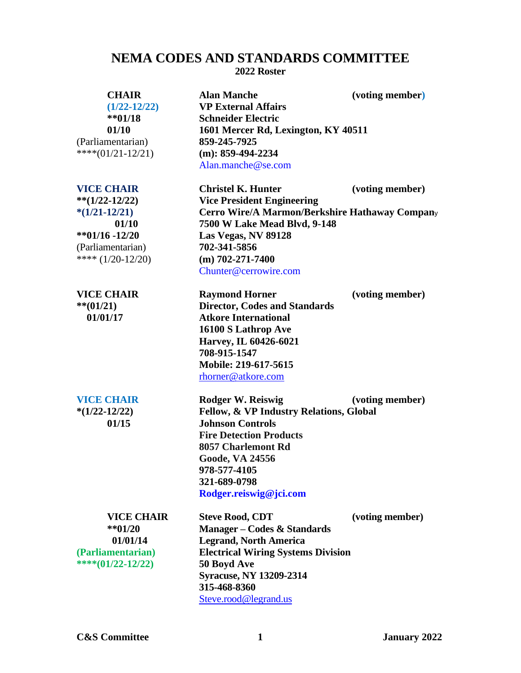# **NEMA CODES AND STANDARDS COMMITTEE 2022 Roster**

(Parliamentarian) **859-245-7925**

**CHAIR Alan Manche (voting member) (1/22-12/22) VP External Affairs \*\*01/18 Schneider Electric 01/10 1601 Mercer Rd, Lexington, KY 40511** \*\*\*\*(01/21-12/21) **(m): 859-494-2234** [Alan.manche@se.com](mailto:Alan.manche@se.com)

(Parliamentarian) **702-341-5856**

**\*\*01/20 Manager – Codes & Standards 01/01/14 Legrand, North America (Parliamentarian) Electrical Wiring Systems Division** \*\*\*\*(01/22-12/22)

**VICE CHAIR Christel K. Hunter (voting member) \*\*(1/22-12/22) Vice President Engineering \*(1/21-12/21) Cerro Wire/A Marmon/Berkshire Hathaway Compan**<sup>y</sup>  **01/10 7500 W Lake Mead Blvd, 9-148 \*\*01/16 -12/20 Las Vegas, NV 89128** \*\*\*\* (1/20-12/20) **(m) 702-271-7400** [Chunter@cerrowire.com](mailto:Chunter@cerrowire.com)

**VICE CHAIR Raymond Horner (voting member) \*\*(01/21) Director, Codes and Standards 01/01/17 Atkore International 16100 S Lathrop Ave Harvey, IL 60426-6021 708-915-1547 Mobile: 219-617-5615** [rhorner@atkore.com](mailto:rhorner@atkore.com)

**VICE CHAIR Rodger W. Reiswig (voting member) \*(1/22-12/22) Fellow, & VP Industry Relations, Global 01/15 Johnson Controls Fire Detection Products 8057 Charlemont Rd Goode, VA 24556 978-577-4105 321-689-0798 [Rodger.reiswig@jci.com](mailto:Rodger.reiswig@jci.com)**

| <b>VICE CHAIR</b> | <b>Steve Rood, CDT</b>                    | (voting member) |
|-------------------|-------------------------------------------|-----------------|
| $**01/20$         | Manager – Codes & Standards               |                 |
| 01/01/14          | <b>Legrand, North America</b>             |                 |
| mentarian)        | <b>Electrical Wiring Systems Division</b> |                 |
| $1/22 - 12/22$    | 50 Boyd Ave                               |                 |
|                   | <b>Syracuse, NY 13209-2314</b>            |                 |
|                   | 315-468-8360                              |                 |
|                   | Steve.rood@legrand.us                     |                 |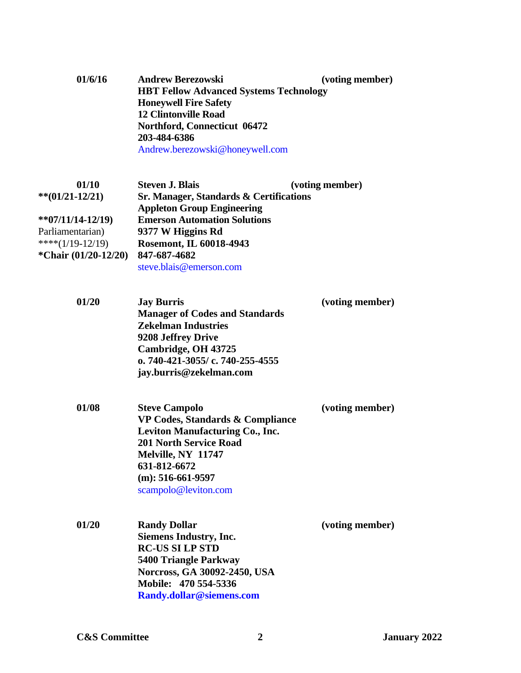| 01/6/16 | <b>Andrew Berezowski</b>                      | (voting member) |
|---------|-----------------------------------------------|-----------------|
|         | <b>HBT Fellow Advanced Systems Technology</b> |                 |
|         | <b>Honeywell Fire Safety</b>                  |                 |
|         | <b>12 Clintonville Road</b>                   |                 |
|         | Northford, Connecticut 06472                  |                 |
|         | 203-484-6386                                  |                 |
|         | Andrew.berezowski@honeywell.com               |                 |

| 01/10                  | <b>Steven J. Blais</b>                             | (voting member) |
|------------------------|----------------------------------------------------|-----------------|
| $**(01/21-12/21)$      | <b>Sr. Manager, Standards &amp; Certifications</b> |                 |
|                        | <b>Appleton Group Engineering</b>                  |                 |
| $*$ *07/11/14-12/19)   | <b>Emerson Automation Solutions</b>                |                 |
| Parliamentarian)       | 9377 W Higgins Rd                                  |                 |
| ****( $1/19-12/19$ )   | Rosemont, IL 60018-4943                            |                 |
| *Chair $(01/20-12/20)$ | 847-687-4682                                       |                 |
|                        | steve.blais@emerson.com                            |                 |

| <b>Jay Burris</b>                     | (voting member) |
|---------------------------------------|-----------------|
| <b>Manager of Codes and Standards</b> |                 |
| <b>Zekelman Industries</b>            |                 |
| 9208 Jeffrey Drive                    |                 |
| Cambridge, OH 43725                   |                 |
| o. 740-421-3055/c. 740-255-4555       |                 |
| jay.burris@zekelman.com               |                 |
|                                       |                 |

| <b>Steve Campolo</b>             | (voting member) |
|----------------------------------|-----------------|
| VP Codes, Standards & Compliance |                 |
| Leviton Manufacturing Co., Inc.  |                 |
| <b>201 North Service Road</b>    |                 |
| Melville, NY 11747               |                 |
| 631-812-6672                     |                 |
| $(m): 516-661-9597$              |                 |
| scampolo@leviton.com             |                 |
|                                  |                 |

| 01/20 | <b>Randy Dollar</b>           | (voting member) |
|-------|-------------------------------|-----------------|
|       | <b>Siemens Industry, Inc.</b> |                 |
|       | <b>RC-US SI LP STD</b>        |                 |
|       | 5400 Triangle Parkway         |                 |
|       | Norcross, GA 30092-2450, USA  |                 |
|       | Mobile: 470 554-5336          |                 |
|       | Randy.dollar@siemens.com      |                 |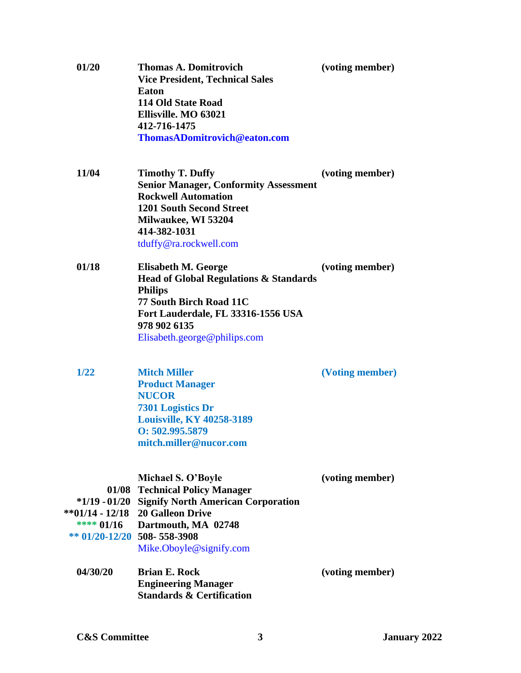| 01/20                           | <b>Thomas A. Domitrovich</b><br><b>Vice President, Technical Sales</b><br><b>Eaton</b><br><b>114 Old State Road</b><br>Ellisville. MO 63021<br>412-716-1475<br>ThomasADomitrovich@eaton.com                 | (voting member) |
|---------------------------------|-------------------------------------------------------------------------------------------------------------------------------------------------------------------------------------------------------------|-----------------|
| 11/04                           | <b>Timothy T. Duffy</b><br><b>Senior Manager, Conformity Assessment</b><br><b>Rockwell Automation</b><br><b>1201 South Second Street</b><br>Milwaukee, WI 53204<br>414-382-1031<br>tduffy@ra.rockwell.com   | (voting member) |
| 01/18                           | Elisabeth M. George<br><b>Head of Global Regulations &amp; Standards</b><br><b>Philips</b><br>77 South Birch Road 11C<br>Fort Lauderdale, FL 33316-1556 USA<br>978 902 6135<br>Elisabeth.george@philips.com | (voting member) |
| 1/22                            | <b>Mitch Miller</b><br><b>Product Manager</b><br><b>NUCOR</b><br><b>7301 Logistics Dr</b><br><b>Louisville, KY 40258-3189</b><br>0:502.995.5879<br>mitch.miller@nucor.com                                   | (Voting member) |
| ** $01/20 - 12/20$ 508-558-3908 | Michael S. O'Boyle<br>01/08 Technical Policy Manager<br>*1/19 - 01/20 Signify North American Corporation<br>** 01/14 - 12/18 20 Galleon Drive<br>**** 01/16 Dartmouth, MA 02748<br>Mike.Oboyle@signify.com  | (voting member) |
| 04/30/20                        | <b>Brian E. Rock</b><br><b>Engineering Manager</b><br><b>Standards &amp; Certification</b>                                                                                                                  | (voting member) |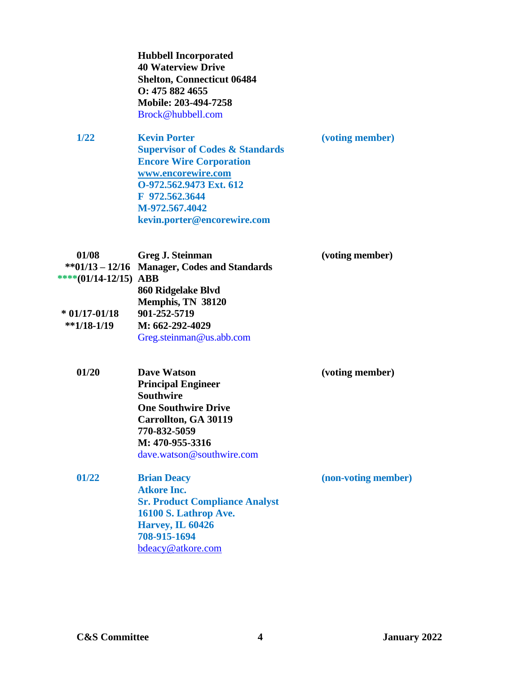|                                 | <b>Hubbell Incorporated</b><br><b>40 Waterview Drive</b><br><b>Shelton, Connecticut 06484</b><br>O: 475 882 4655<br>Mobile: 203-494-7258<br>Brock@hubbell.com                                                           |                     |
|---------------------------------|-------------------------------------------------------------------------------------------------------------------------------------------------------------------------------------------------------------------------|---------------------|
| 1/22                            | <b>Kevin Porter</b><br><b>Supervisor of Codes &amp; Standards</b><br><b>Encore Wire Corporation</b><br>www.encorewire.com<br>O-972.562.9473 Ext. 612<br>F 972.562.3644<br>M-972.567.4042<br>kevin.porter@encorewire.com | (voting member)     |
| 01/08<br>****(01/14-12/15) ABB  | Greg J. Steinman<br>**01/13 - 12/16 Manager, Codes and Standards<br>860 Ridgelake Blvd                                                                                                                                  | (voting member)     |
| $*$ 01/17-01/18<br>$*1/18-1/19$ | Memphis, TN 38120<br>901-252-5719<br>M: 662-292-4029<br>Greg.steinman@us.abb.com                                                                                                                                        |                     |
| 01/20                           | <b>Dave Watson</b><br><b>Principal Engineer</b><br><b>Southwire</b><br><b>One Southwire Drive</b><br><b>Carrollton, GA 30119</b><br>770-832-5059<br>M: 470-955-3316<br>dave.watson@southwire.com                        | (voting member)     |
| 01/22                           | <b>Brian Deacy</b><br><b>Atkore Inc.</b><br><b>Sr. Product Compliance Analyst</b><br>16100 S. Lathrop Ave.<br><b>Harvey, IL 60426</b><br>708-915-1694<br>bdeacy@atkore.com                                              | (non-voting member) |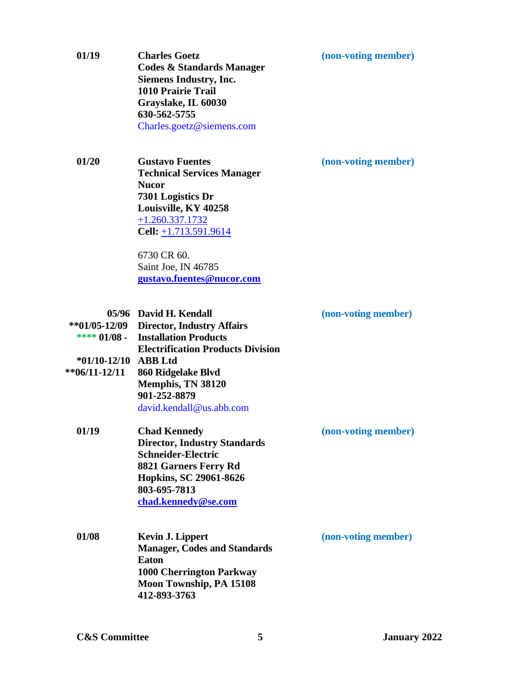| (non-voting member) |  |  |
|---------------------|--|--|
|                     |  |  |

**01/19 [Charles](http://nemalink.nema.org/individual.aspx?id=100194432) Goetz (non-voting member) Codes & Standards Manager Siemens Industry, Inc. 1010 Prairie Trail Grayslake, IL 60030 630-562-5755** [Charles.goetz@siemens.com](mailto:Charles.goetz@siemens.com)

**01/20 Gustavo Fuentes (non-voting member) Technical Services Manager Nucor 7301 Logistics Dr Louisville, KY 40258** [+1.260.337.1732](tel:+1.260.337.1732) **Cell:** [+1.713.591.9614](tel:+1.713.591.9614)

> 6730 CR 60. Saint Joe, IN 46785 **[gustavo.fuentes@nucor.com](mailto:gustavo.fuentes@nucor.com)**

|                  | 05/96 David H. Kendall                   |
|------------------|------------------------------------------|
| $**01/05-12/09$  | <b>Director, Industry Affairs</b>        |
| **** $01/08$ -   | <b>Installation Products</b>             |
|                  | <b>Electrification Products Division</b> |
| $*01/10-12/10$   | <b>ABB</b> Ltd                           |
| $*$ *06/11-12/11 | 860 Ridgelake Blvd                       |
|                  | Memphis, TN 38120                        |
|                  | 901-252-8879                             |
|                  | david.kendall@us.abb.com                 |

| 01/19 | <b>Chad Kennedy</b>                 |  |
|-------|-------------------------------------|--|
|       | <b>Director, Industry Standards</b> |  |
|       | <b>Schneider-Electric</b>           |  |
|       | 8821 Garners Ferry Rd               |  |
|       | Hopkins, SC 29061-8626              |  |
|       | 803-695-7813                        |  |
|       | chad.kennedy@se.com                 |  |

**01/08 Kevin J. Lippert (non-voting member) Manager, Codes and Standards Eaton 1000 Cherrington Parkway Moon Township, PA 15108 412-893-3763** 

 $$ 

**01/19 [Chad](http://nemalink.nema.org/individual.aspx?id=100005491) Kennedy (non-voting member)**